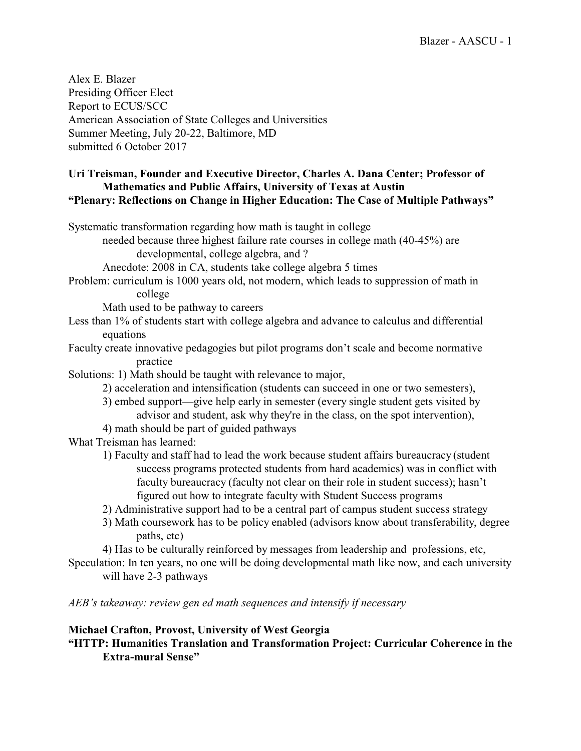Alex E. Blazer Presiding Officer Elect Report to ECUS/SCC American Association of State Colleges and Universities Summer Meeting, July 20-22, Baltimore, MD submitted 6 October 2017

### **Uri Treisman, Founder and Executive Director, Charles A. Dana Center; Professor of Mathematics and Public Affairs, University of Texas at Austin "Plenary: Reflections on Change in Higher Education: The Case of Multiple Pathways"**

Systematic transformation regarding how math is taught in college

needed because three highest failure rate courses in college math (40-45%) are developmental, college algebra, and ?

Anecdote: 2008 in CA, students take college algebra 5 times

Problem: curriculum is 1000 years old, not modern, which leads to suppression of math in college

Math used to be pathway to careers

Less than 1% of students start with college algebra and advance to calculus and differential equations

Faculty create innovative pedagogies but pilot programs don't scale and become normative practice

Solutions: 1) Math should be taught with relevance to major,

- 2) acceleration and intensification (students can succeed in one or two semesters),
- 3) embed support—give help early in semester (every single student gets visited by advisor and student, ask why they're in the class, on the spot intervention),
- 4) math should be part of guided pathways

What Treisman has learned:

1) Faculty and staff had to lead the work because student affairs bureaucracy (student success programs protected students from hard academics) was in conflict with faculty bureaucracy (faculty not clear on their role in student success); hasn't figured out how to integrate faculty with Student Success programs

2) Administrative support had to be a central part of campus student success strategy

3) Math coursework has to be policy enabled (advisors know about transferability, degree paths, etc)

4) Has to be culturally reinforced by messages from leadership and professions, etc,

Speculation: In ten years, no one will be doing developmental math like now, and each university will have 2-3 pathways

*AEB's takeaway: review gen ed math sequences and intensify if necessary*

## **Michael Crafton, Provost, University of West Georgia**

**"HTTP: Humanities Translation and Transformation Project: Curricular Coherence in the Extra-mural Sense"**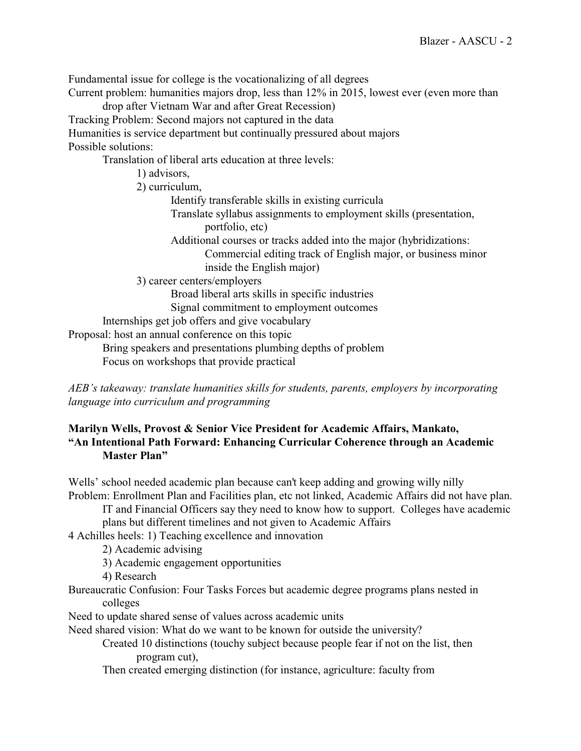Fundamental issue for college is the vocationalizing of all degrees

Current problem: humanities majors drop, less than 12% in 2015, lowest ever (even more than

drop after Vietnam War and after Great Recession)

Tracking Problem: Second majors not captured in the data

Humanities is service department but continually pressured about majors

Possible solutions:

Translation of liberal arts education at three levels:

1) advisors,

2) curriculum,

Identify transferable skills in existing curricula

Translate syllabus assignments to employment skills (presentation, portfolio, etc)

Additional courses or tracks added into the major (hybridizations:

Commercial editing track of English major, or business minor inside the English major)

3) career centers/employers

Broad liberal arts skills in specific industries

Signal commitment to employment outcomes

Internships get job offers and give vocabulary

Proposal: host an annual conference on this topic

Bring speakers and presentations plumbing depths of problem

Focus on workshops that provide practical

*AEB's takeaway: translate humanities skills for students, parents, employers by incorporating language into curriculum and programming*

## **Marilyn Wells, Provost & Senior Vice President for Academic Affairs, Mankato, "An Intentional Path Forward: Enhancing Curricular Coherence through an Academic Master Plan"**

Wells' school needed academic plan because can't keep adding and growing willy nilly Problem: Enrollment Plan and Facilities plan, etc not linked, Academic Affairs did not have plan.

IT and Financial Officers say they need to know how to support. Colleges have academic plans but different timelines and not given to Academic Affairs

4 Achilles heels: 1) Teaching excellence and innovation

2) Academic advising

3) Academic engagement opportunities

4) Research

Bureaucratic Confusion: Four Tasks Forces but academic degree programs plans nested in colleges

Need to update shared sense of values across academic units

Need shared vision: What do we want to be known for outside the university?

Created 10 distinctions (touchy subject because people fear if not on the list, then program cut),

Then created emerging distinction (for instance, agriculture: faculty from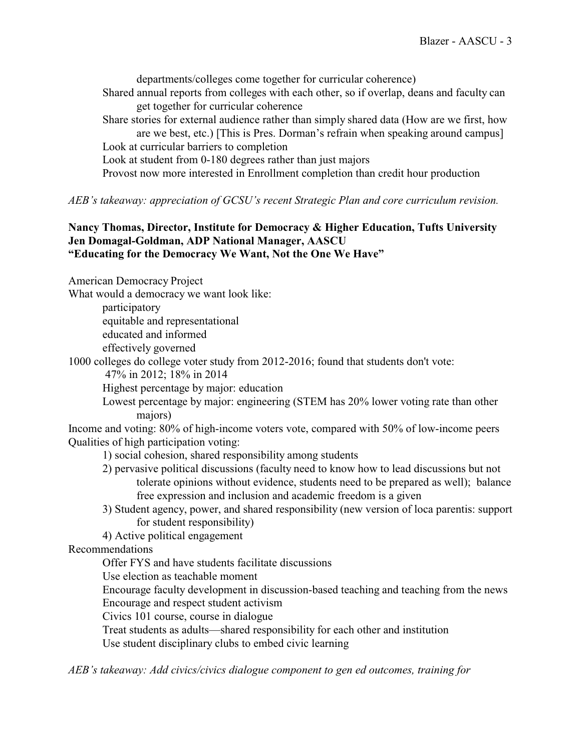departments/colleges come together for curricular coherence)

Shared annual reports from colleges with each other, so if overlap, deans and faculty can get together for curricular coherence

Share stories for external audience rather than simply shared data (How are we first, how are we best, etc.) [This is Pres. Dorman's refrain when speaking around campus] Look at curricular barriers to completion

Look at student from 0-180 degrees rather than just majors

Provost now more interested in Enrollment completion than credit hour production

*AEB's takeaway: appreciation of GCSU's recent Strategic Plan and core curriculum revision.*

## **Nancy Thomas, Director, Institute for Democracy & Higher Education, Tufts University Jen Domagal-Goldman, ADP National Manager, AASCU "Educating for the Democracy We Want, Not the One We Have"**

American Democracy Project

What would a democracy we want look like:

participatory equitable and representational educated and informed effectively governed

1000 colleges do college voter study from 2012-2016; found that students don't vote:

47% in 2012; 18% in 2014

Highest percentage by major: education

Lowest percentage by major: engineering (STEM has 20% lower voting rate than other majors)

Income and voting: 80% of high-income voters vote, compared with 50% of low-income peers Qualities of high participation voting:

- 1) social cohesion, shared responsibility among students
- 2) pervasive political discussions (faculty need to know how to lead discussions but not tolerate opinions without evidence, students need to be prepared as well); balance free expression and inclusion and academic freedom is a given
- 3) Student agency, power, and shared responsibility (new version of loca parentis: support for student responsibility)

4) Active political engagement

Recommendations

Offer FYS and have students facilitate discussions

Use election as teachable moment

Encourage faculty development in discussion-based teaching and teaching from the news Encourage and respect student activism

Civics 101 course, course in dialogue

Treat students as adults—shared responsibility for each other and institution

Use student disciplinary clubs to embed civic learning

*AEB's takeaway: Add civics/civics dialogue component to gen ed outcomes, training for*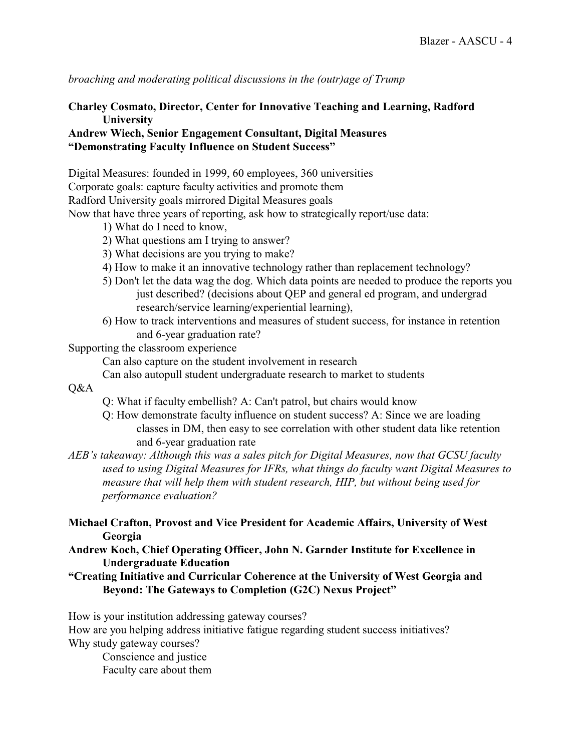*broaching and moderating political discussions in the (outr)age of Trump*

# **Charley Cosmato, Director, Center for Innovative Teaching and Learning, Radford University**

### **Andrew Wiech, Senior Engagement Consultant, Digital Measures "Demonstrating Faculty Influence on Student Success"**

Digital Measures: founded in 1999, 60 employees, 360 universities Corporate goals: capture faculty activities and promote them Radford University goals mirrored Digital Measures goals Now that have three years of reporting, ask how to strategically report/use data:

- 1) What do I need to know,
- 2) What questions am I trying to answer?
- 3) What decisions are you trying to make?
- 4) How to make it an innovative technology rather than replacement technology?
- 5) Don't let the data wag the dog. Which data points are needed to produce the reports you just described? (decisions about QEP and general ed program, and undergrad research/service learning/experiential learning),
- 6) How to track interventions and measures of student success, for instance in retention and 6-year graduation rate?

Supporting the classroom experience

Can also capture on the student involvement in research

Can also autopull student undergraduate research to market to students

## Q&A

- Q: What if faculty embellish? A: Can't patrol, but chairs would know
- Q: How demonstrate faculty influence on student success? A: Since we are loading classes in DM, then easy to see correlation with other student data like retention and 6-year graduation rate
- *AEB's takeaway: Although this was a sales pitch for Digital Measures, now that GCSU faculty used to using Digital Measures for IFRs, what things do faculty want Digital Measures to measure that will help them with student research, HIP, but without being used for performance evaluation?*
- **Michael Crafton, Provost and Vice President for Academic Affairs, University of West Georgia**
- **Andrew Koch, Chief Operating Officer, John N. Garnder Institute for Excellence in Undergraduate Education**
- **"Creating Initiative and Curricular Coherence at the University of West Georgia and Beyond: The Gateways to Completion (G2C) Nexus Project"**

How is your institution addressing gateway courses? How are you helping address initiative fatigue regarding student success initiatives? Why study gateway courses?

Conscience and justice Faculty care about them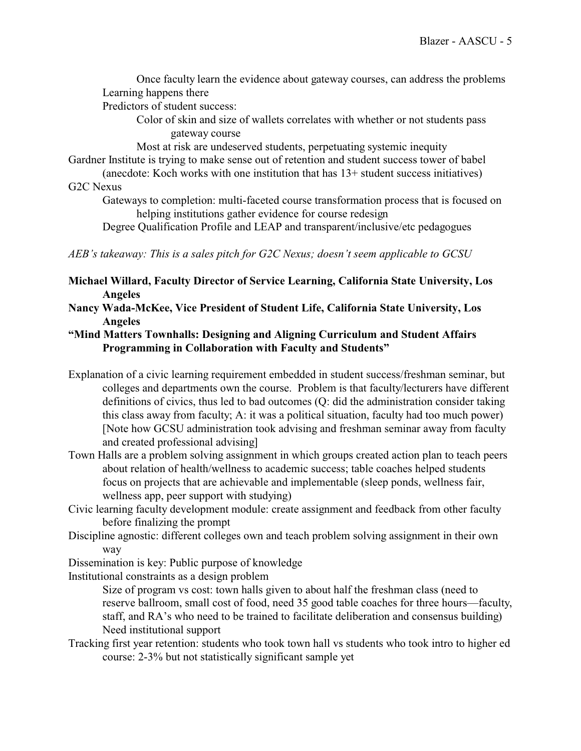Once faculty learn the evidence about gateway courses, can address the problems Learning happens there

Predictors of student success:

Color of skin and size of wallets correlates with whether or not students pass gateway course

Most at risk are undeserved students, perpetuating systemic inequity Gardner Institute is trying to make sense out of retention and student success tower of babel

(anecdote: Koch works with one institution that has 13+ student success initiatives) G2C Nexus

Gateways to completion: multi-faceted course transformation process that is focused on helping institutions gather evidence for course redesign

Degree Qualification Profile and LEAP and transparent/inclusive/etc pedagogues

*AEB's takeaway: This is a sales pitch for G2C Nexus; doesn't seem applicable to GCSU*

**Michael Willard, Faculty Director of Service Learning, California State University, Los Angeles**

**Nancy Wada-McKee, Vice President of Student Life, California State University, Los Angeles**

## **"Mind Matters Townhalls: Designing and Aligning Curriculum and Student Affairs Programming in Collaboration with Faculty and Students"**

Explanation of a civic learning requirement embedded in student success/freshman seminar, but colleges and departments own the course. Problem is that faculty/lecturers have different definitions of civics, thus led to bad outcomes (Q: did the administration consider taking this class away from faculty; A: it was a political situation, faculty had too much power) [Note how GCSU administration took advising and freshman seminar away from faculty and created professional advising]

Town Halls are a problem solving assignment in which groups created action plan to teach peers about relation of health/wellness to academic success; table coaches helped students focus on projects that are achievable and implementable (sleep ponds, wellness fair, wellness app, peer support with studying)

Civic learning faculty development module: create assignment and feedback from other faculty before finalizing the prompt

Discipline agnostic: different colleges own and teach problem solving assignment in their own way

Dissemination is key: Public purpose of knowledge

Institutional constraints as a design problem

Size of program vs cost: town halls given to about half the freshman class (need to reserve ballroom, small cost of food, need 35 good table coaches for three hours—faculty, staff, and RA's who need to be trained to facilitate deliberation and consensus building) Need institutional support

Tracking first year retention: students who took town hall vs students who took intro to higher ed course: 2-3% but not statistically significant sample yet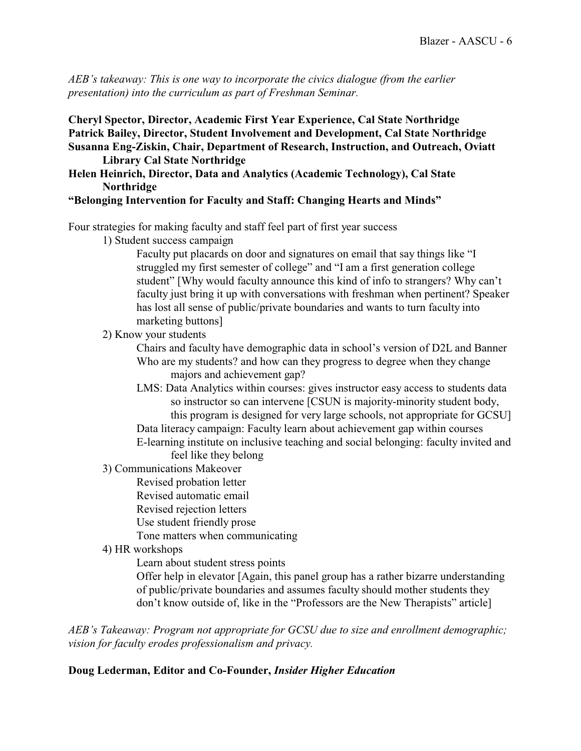*AEB's takeaway: This is one way to incorporate the civics dialogue (from the earlier presentation) into the curriculum as part of Freshman Seminar.*

**Cheryl Spector, Director, Academic First Year Experience, Cal State Northridge Patrick Bailey, Director, Student Involvement and Development, Cal State Northridge Susanna Eng-Ziskin, Chair, Department of Research, Instruction, and Outreach, Oviatt Library Cal State Northridge**

**Helen Heinrich, Director, Data and Analytics (Academic Technology), Cal State Northridge**

### **"Belonging Intervention for Faculty and Staff: Changing Hearts and Minds"**

Four strategies for making faculty and staff feel part of first year success

1) Student success campaign

Faculty put placards on door and signatures on email that say things like "I struggled my first semester of college" and "I am a first generation college student" [Why would faculty announce this kind of info to strangers? Why can't faculty just bring it up with conversations with freshman when pertinent? Speaker has lost all sense of public/private boundaries and wants to turn faculty into marketing buttons]

2) Know your students

Chairs and faculty have demographic data in school's version of D2L and Banner Who are my students? and how can they progress to degree when they change majors and achievement gap?

- LMS: Data Analytics within courses: gives instructor easy access to students data so instructor so can intervene [CSUN is majority-minority student body, this program is designed for very large schools, not appropriate for GCSU]
- Data literacy campaign: Faculty learn about achievement gap within courses E-learning institute on inclusive teaching and social belonging: faculty invited and
	- feel like they belong
- 3) Communications Makeover
	- Revised probation letter
		- Revised automatic email
	- Revised rejection letters
	- Use student friendly prose
	- Tone matters when communicating
- 4) HR workshops

Learn about student stress points

Offer help in elevator [Again, this panel group has a rather bizarre understanding of public/private boundaries and assumes faculty should mother students they don't know outside of, like in the "Professors are the New Therapists" article]

*AEB's Takeaway: Program not appropriate for GCSU due to size and enrollment demographic; vision for faculty erodes professionalism and privacy.*

### **Doug Lederman, Editor and Co-Founder,** *Insider Higher Education*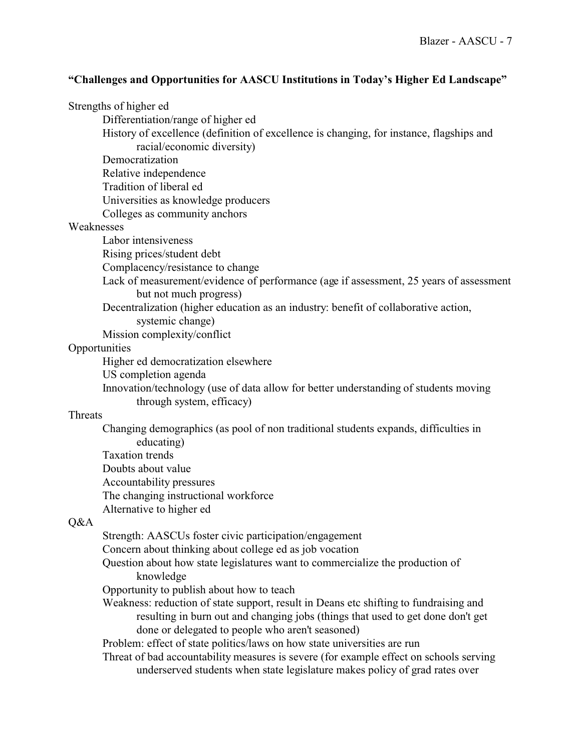### **"Challenges and Opportunities for AASCU Institutions in Today's Higher Ed Landscape"**

|  | Strengths of higher ed |  |
|--|------------------------|--|
|--|------------------------|--|

Differentiation/range of higher ed

- History of excellence (definition of excellence is changing, for instance, flagships and racial/economic diversity)
- Democratization
- Relative independence
- Tradition of liberal ed
- Universities as knowledge producers
- Colleges as community anchors

#### Weaknesses

- Labor intensiveness
- Rising prices/student debt
- Complacency/resistance to change
- Lack of measurement/evidence of performance (age if assessment, 25 years of assessment but not much progress)
- Decentralization (higher education as an industry: benefit of collaborative action,
	- systemic change)
- Mission complexity/conflict

#### **Opportunities**

Higher ed democratization elsewhere

US completion agenda

Innovation/technology (use of data allow for better understanding of students moving through system, efficacy)

## Threats

- Changing demographics (as pool of non traditional students expands, difficulties in educating) Taxation trends Doubts about value Accountability pressures
- The changing instructional workforce
- Alternative to higher ed

# Q&A

Strength: AASCUs foster civic participation/engagement

- Concern about thinking about college ed as job vocation
- Question about how state legislatures want to commercialize the production of knowledge
- Opportunity to publish about how to teach
- Weakness: reduction of state support, result in Deans etc shifting to fundraising and resulting in burn out and changing jobs (things that used to get done don't get done or delegated to people who aren't seasoned)

Problem: effect of state politics/laws on how state universities are run

Threat of bad accountability measures is severe (for example effect on schools serving underserved students when state legislature makes policy of grad rates over